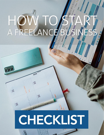# HOW TO

## CHECKLIST

್ತ

 $2<sup>2</sup>$ 

22

 $20$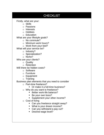### **CHECKLIST** Firstly, what are your: o Skills o Passions o Interests o Hobbies o Education What are your lifestyle goals? o No commute? o Minimum work hours? o Work from your bed? What will your service be? o Industry? o Specialization? o Niche? Who are your clients? o Quality o Retention Will there be hidden costs? o Software o Furniture o Equipment o Training Business plan elements that you need to consider o Part-time freelance? **• Or make it a full-time business?** o Why do you want to freelance? ■ Better work-life balance? Be your own boss? **Supplement your other income?** o Cost of living • Can you freelance straight away? What is your dream income? • Can you withstand a pay cut?

**Desired wage level?**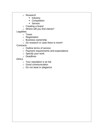- o Research
	- **Industry**
	- Competition
	- **Service**
- o Creating a brand
- o Where will you find clients?

### **Legalities**

- o Taxes
- o Registration
- o Business ownership
- o Do research in case there is more!!

## **Contracts**

- o Outline terms of service
- o Payment requirements and expectations
- o Specify your work
- o Deadlines

### **Ethics**

- o Your reputation is at risk
- o Good communication
- o Do not steal or plagiarize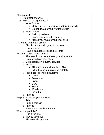Starting work

- o Get experience first
- o How to get experience?
	- o Work for free
		- **Make sure you can withstand this financially**
		- Do not devalue your work too much
	- o Work for less
		- Build up reviews
		- Gives insight into the lifestyle
		- **Makes you revalue your final price**

Try to find and retain clients

- o Should be the main goal of business
- $\circ$  Learn to pitch
- o Have a database of possible clients

Where to find freelance work?

- $\circ$  The best tip is to look where your clients are
- o Do research on your client
- o Do research on industry services
- o Profiles
	- Fill out your social media profiles
	- Fill out website profiles completely
- o Freelance job finding platforms
	- **Upwork**
	- **Freelancer**
	- **Fiverr**
	- Guru
	- **Toptal**
	- **FiFreelance**
	- **LinkedIn**
- o Pitching

Ways to advertise your services

- o Ads
- o Build a portfolio
- o Pitching
- o Have social media accounts
- What is a portfolio?
	- o Like a resume
	- o Way to advertise
	- o Show off who you are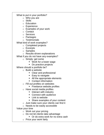What to put in your portfolio?

- o Who you are
- o Skills
- o Education
- o Experience
- o Examples of your work
- o Contact
- o Services
- o Packages
- o Testimonials

What kind of work examples?

- o Completed projects
- o Excerpts
- o Samples
- o Results-driven explanations

What if you do not have any examples?

- o Simply: get some
	- Work for a lower wage
	- Do practice projects

Where should a portfolio be?

- o Build a website
	- Clear and professional
	- $\blacksquare$  Easy to navigate
	- All the appropriate elements
	- Contact information
- o Fill out profiles on websites
	- **Freelance website profiles**
- o Have social media profiles
	- **Interact with industry** 
		- **Connect with audience**
		- **Link to website**
	- Share examples of your content
- o Just make sure your clients can find it
- o Needs to be easily accessible
- Value your time
	- o Work out your pricing
	- o Do not let clients take advantage
		- Or do extra work for no extra cash
	- o Price your work fairly